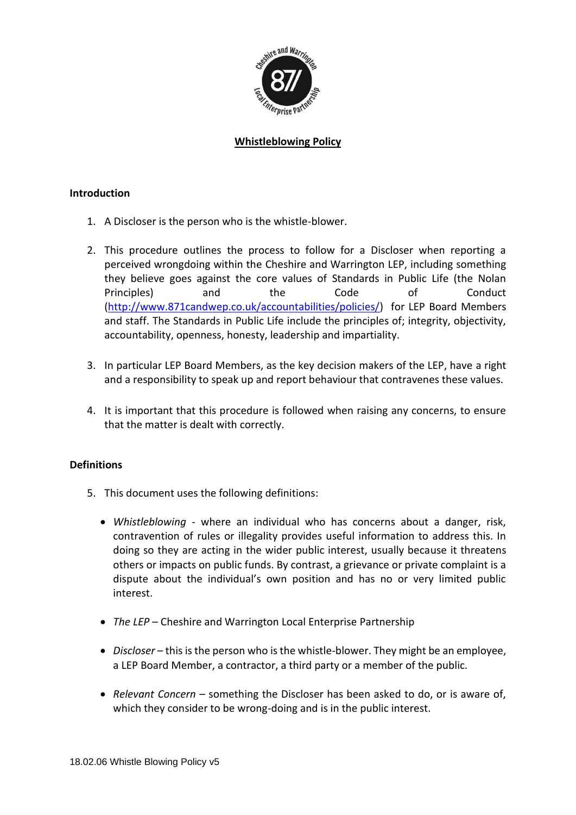

# **Whistleblowing Policy**

### **Introduction**

- 1. A Discloser is the person who is the whistle-blower.
- 2. This procedure outlines the process to follow for a Discloser when reporting a perceived wrongdoing within the Cheshire and Warrington LEP, including something they believe goes against the core values of Standards in Public Life (the Nolan Principles) and the Code of Conduct [\(http://www.871candwep.co.uk/accountabilities/policies/\)](http://www.871candwep.co.uk/accountabilities/policies/) for LEP Board Members and staff. The Standards in Public Life include the principles of; integrity, objectivity, accountability, openness, honesty, leadership and impartiality.
- 3. In particular LEP Board Members, as the key decision makers of the LEP, have a right and a responsibility to speak up and report behaviour that contravenes these values.
- 4. It is important that this procedure is followed when raising any concerns, to ensure that the matter is dealt with correctly.

### **Definitions**

- 5. This document uses the following definitions:
	- *Whistleblowing* where an individual who has concerns about a danger, risk, contravention of rules or illegality provides useful information to address this. In doing so they are acting in the wider public interest, usually because it threatens others or impacts on public funds. By contrast, a grievance or private complaint is a dispute about the individual's own position and has no or very limited public interest.
	- *The LEP*  Cheshire and Warrington Local Enterprise Partnership
	- *Discloser* this is the person who is the whistle-blower. They might be an employee, a LEP Board Member, a contractor, a third party or a member of the public.
	- *Relevant Concern*  something the Discloser has been asked to do, or is aware of, which they consider to be wrong-doing and is in the public interest.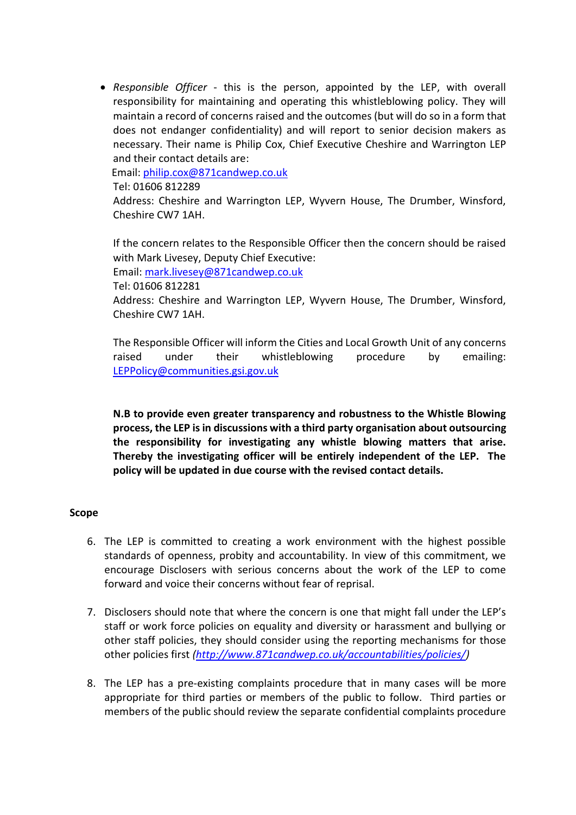• *Responsible Officer* - this is the person, appointed by the LEP, with overall responsibility for maintaining and operating this whistleblowing policy. They will maintain a record of concerns raised and the outcomes (but will do so in a form that does not endanger confidentiality) and will report to senior decision makers as necessary. Their name is Philip Cox, Chief Executive Cheshire and Warrington LEP and their contact details are:

Email: [philip.cox@871candwep.co.uk](mailto:philip.cox@871candwep.co.uk)

Tel: 01606 812289

Address: Cheshire and Warrington LEP, Wyvern House, The Drumber, Winsford, Cheshire CW7 1AH.

If the concern relates to the Responsible Officer then the concern should be raised with Mark Livesey, Deputy Chief Executive:

Email: [mark.livesey@871candwep.co.uk](mailto:mark.livesey@871candwep.co.uk)

Tel: 01606 812281

Address: Cheshire and Warrington LEP, Wyvern House, The Drumber, Winsford, Cheshire CW7 1AH.

The Responsible Officer will inform the Cities and Local Growth Unit of any concerns raised under their whistleblowing procedure by emailing: [LEPPolicy@communities.gsi.gov.uk](mailto:LEPPolicy@communities.gsi.gov.uk)

**N.B to provide even greater transparency and robustness to the Whistle Blowing process, the LEP is in discussions with a third party organisation about outsourcing the responsibility for investigating any whistle blowing matters that arise. Thereby the investigating officer will be entirely independent of the LEP. The policy will be updated in due course with the revised contact details.** 

#### **Scope**

- 6. The LEP is committed to creating a work environment with the highest possible standards of openness, probity and accountability. In view of this commitment, we encourage Disclosers with serious concerns about the work of the LEP to come forward and voice their concerns without fear of reprisal.
- 7. Disclosers should note that where the concern is one that might fall under the LEP's staff or work force policies on equality and diversity or harassment and bullying or other staff policies, they should consider using the reporting mechanisms for those other policies first *[\(http://www.871candwep.co.uk/accountabilities/policies/\)](http://www.871candwep.co.uk/accountabilities/policies/)*
- 8. The LEP has a pre-existing complaints procedure that in many cases will be more appropriate for third parties or members of the public to follow. Third parties or members of the public should review the separate confidential complaints procedure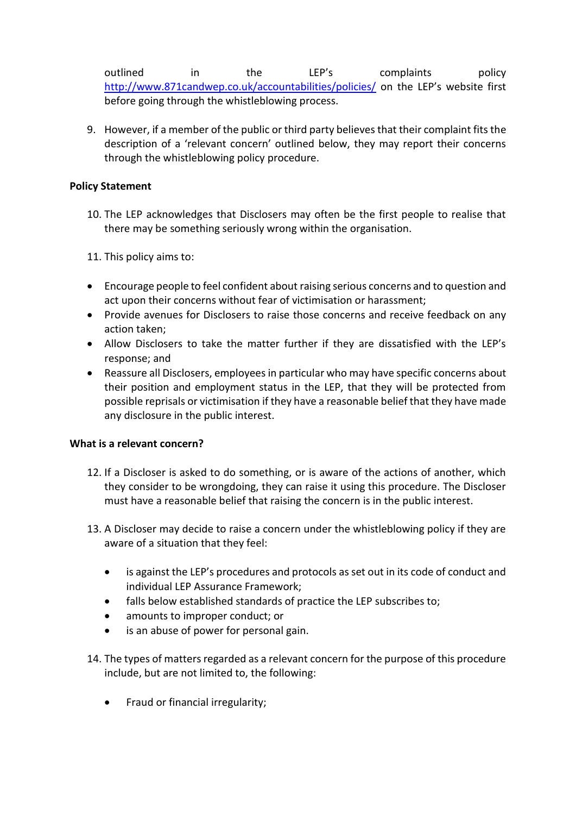outlined in the LEP's complaints policy <http://www.871candwep.co.uk/accountabilities/policies/> on the LEP's website first before going through the whistleblowing process.

9. However, if a member of the public or third party believes that their complaint fits the description of a 'relevant concern' outlined below, they may report their concerns through the whistleblowing policy procedure.

# **Policy Statement**

- 10. The LEP acknowledges that Disclosers may often be the first people to realise that there may be something seriously wrong within the organisation.
- 11. This policy aims to:
- Encourage people to feel confident about raising serious concerns and to question and act upon their concerns without fear of victimisation or harassment;
- Provide avenues for Disclosers to raise those concerns and receive feedback on any action taken;
- Allow Disclosers to take the matter further if they are dissatisfied with the LEP's response; and
- Reassure all Disclosers, employees in particular who may have specific concerns about their position and employment status in the LEP, that they will be protected from possible reprisals or victimisation if they have a reasonable belief that they have made any disclosure in the public interest.

### **What is a relevant concern?**

- 12. If a Discloser is asked to do something, or is aware of the actions of another, which they consider to be wrongdoing, they can raise it using this procedure. The Discloser must have a reasonable belief that raising the concern is in the public interest.
- 13. A Discloser may decide to raise a concern under the whistleblowing policy if they are aware of a situation that they feel:
	- is against the LEP's procedures and protocols as set out in its code of conduct and individual LEP Assurance Framework;
	- falls below established standards of practice the LEP subscribes to;
	- amounts to improper conduct; or
	- is an abuse of power for personal gain.
- 14. The types of matters regarded as a relevant concern for the purpose of this procedure include, but are not limited to, the following:
	- Fraud or financial irregularity;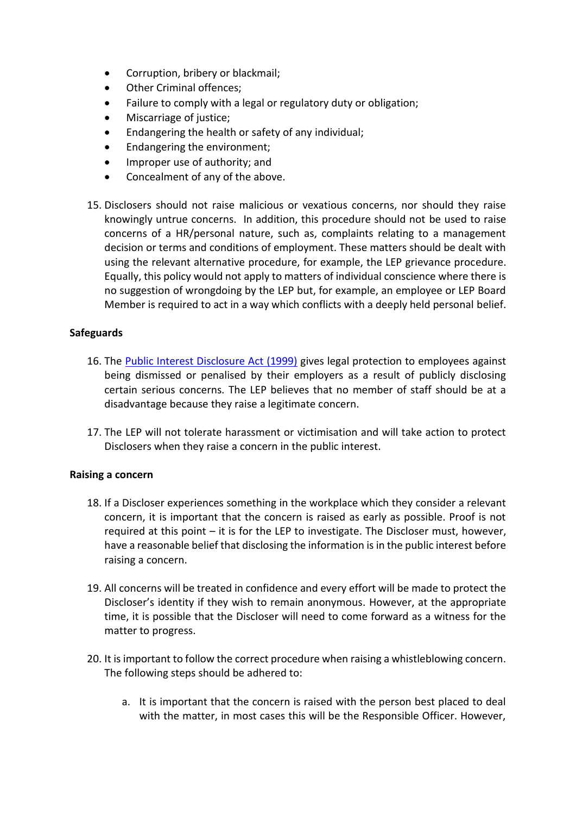- Corruption, bribery or blackmail;
- Other Criminal offences:
- Failure to comply with a legal or regulatory duty or obligation;
- Miscarriage of justice;
- Endangering the health or safety of any individual;
- Endangering the environment;
- Improper use of authority; and
- Concealment of any of the above.
- 15. Disclosers should not raise malicious or vexatious concerns, nor should they raise knowingly untrue concerns. In addition, this procedure should not be used to raise concerns of a HR/personal nature, such as, complaints relating to a management decision or terms and conditions of employment. These matters should be dealt with using the relevant alternative procedure, for example, the LEP grievance procedure. Equally, this policy would not apply to matters of individual conscience where there is no suggestion of wrongdoing by the LEP but, for example, an employee or LEP Board Member is required to act in a way which conflicts with a deeply held personal belief.

# **Safeguards**

- 16. The [Public Interest Disclosure Act \(1999\)](https://www.legislation.gov.uk/ukpga/1998/23/contents) gives legal protection to employees against being dismissed or penalised by their employers as a result of publicly disclosing certain serious concerns. The LEP believes that no member of staff should be at a disadvantage because they raise a legitimate concern.
- 17. The LEP will not tolerate harassment or victimisation and will take action to protect Disclosers when they raise a concern in the public interest.

### **Raising a concern**

- 18. If a Discloser experiences something in the workplace which they consider a relevant concern, it is important that the concern is raised as early as possible. Proof is not required at this point – it is for the LEP to investigate. The Discloser must, however, have a reasonable belief that disclosing the information is in the public interest before raising a concern.
- 19. All concerns will be treated in confidence and every effort will be made to protect the Discloser's identity if they wish to remain anonymous. However, at the appropriate time, it is possible that the Discloser will need to come forward as a witness for the matter to progress.
- 20. It is important to follow the correct procedure when raising a whistleblowing concern. The following steps should be adhered to:
	- a. It is important that the concern is raised with the person best placed to deal with the matter, in most cases this will be the Responsible Officer. However,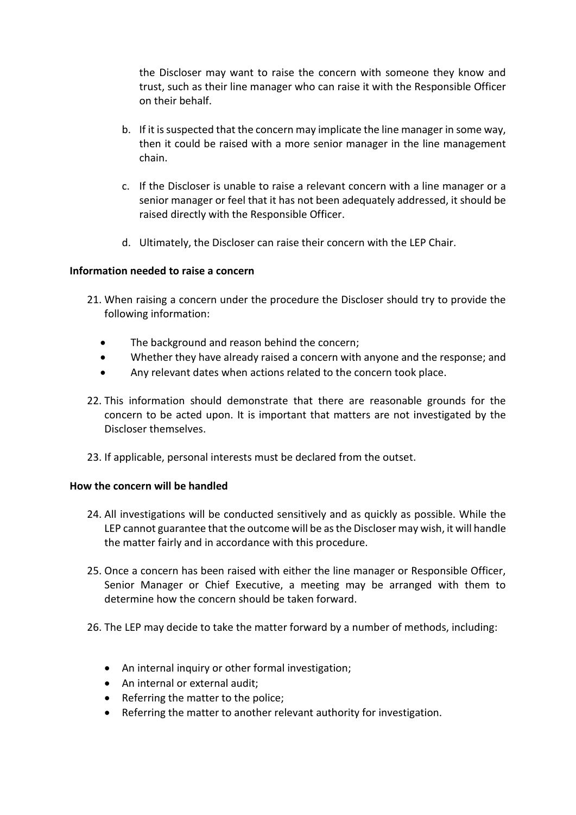the Discloser may want to raise the concern with someone they know and trust, such as their line manager who can raise it with the Responsible Officer on their behalf.

- b. If it is suspected that the concern may implicate the line manager in some way, then it could be raised with a more senior manager in the line management chain.
- c. If the Discloser is unable to raise a relevant concern with a line manager or a senior manager or feel that it has not been adequately addressed, it should be raised directly with the Responsible Officer.
- d. Ultimately, the Discloser can raise their concern with the LEP Chair.

# **Information needed to raise a concern**

- 21. When raising a concern under the procedure the Discloser should try to provide the following information:
	- The background and reason behind the concern;
	- Whether they have already raised a concern with anyone and the response; and
	- Any relevant dates when actions related to the concern took place.
- 22. This information should demonstrate that there are reasonable grounds for the concern to be acted upon. It is important that matters are not investigated by the Discloser themselves.
- 23. If applicable, personal interests must be declared from the outset.

# **How the concern will be handled**

- 24. All investigations will be conducted sensitively and as quickly as possible. While the LEP cannot guarantee that the outcome will be as the Discloser may wish, it will handle the matter fairly and in accordance with this procedure.
- 25. Once a concern has been raised with either the line manager or Responsible Officer, Senior Manager or Chief Executive, a meeting may be arranged with them to determine how the concern should be taken forward.
- 26. The LEP may decide to take the matter forward by a number of methods, including:
	- An internal inquiry or other formal investigation;
	- An internal or external audit;
	- Referring the matter to the police;
	- Referring the matter to another relevant authority for investigation.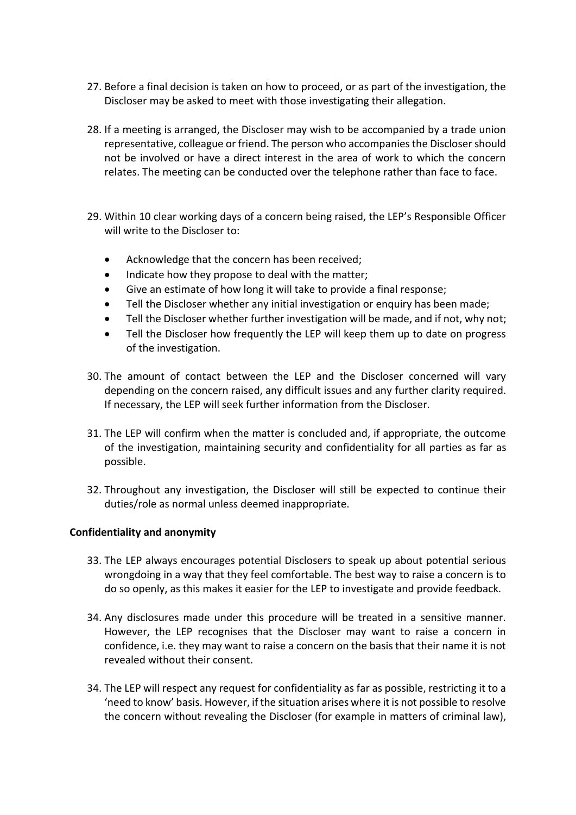- 27. Before a final decision is taken on how to proceed, or as part of the investigation, the Discloser may be asked to meet with those investigating their allegation.
- 28. If a meeting is arranged, the Discloser may wish to be accompanied by a trade union representative, colleague or friend. The person who accompanies the Discloser should not be involved or have a direct interest in the area of work to which the concern relates. The meeting can be conducted over the telephone rather than face to face.
- 29. Within 10 clear working days of a concern being raised, the LEP's Responsible Officer will write to the Discloser to:
	- Acknowledge that the concern has been received;
	- Indicate how they propose to deal with the matter;
	- Give an estimate of how long it will take to provide a final response;
	- Tell the Discloser whether any initial investigation or enquiry has been made;
	- Tell the Discloser whether further investigation will be made, and if not, why not;
	- Tell the Discloser how frequently the LEP will keep them up to date on progress of the investigation.
- 30. The amount of contact between the LEP and the Discloser concerned will vary depending on the concern raised, any difficult issues and any further clarity required. If necessary, the LEP will seek further information from the Discloser.
- 31. The LEP will confirm when the matter is concluded and, if appropriate, the outcome of the investigation, maintaining security and confidentiality for all parties as far as possible.
- 32. Throughout any investigation, the Discloser will still be expected to continue their duties/role as normal unless deemed inappropriate.

### **Confidentiality and anonymity**

- 33. The LEP always encourages potential Disclosers to speak up about potential serious wrongdoing in a way that they feel comfortable. The best way to raise a concern is to do so openly, as this makes it easier for the LEP to investigate and provide feedback.
- 34. Any disclosures made under this procedure will be treated in a sensitive manner. However, the LEP recognises that the Discloser may want to raise a concern in confidence, i.e. they may want to raise a concern on the basis that their name it is not revealed without their consent.
- 34. The LEP will respect any request for confidentiality as far as possible, restricting it to a 'need to know' basis. However, if the situation arises where it is not possible to resolve the concern without revealing the Discloser (for example in matters of criminal law),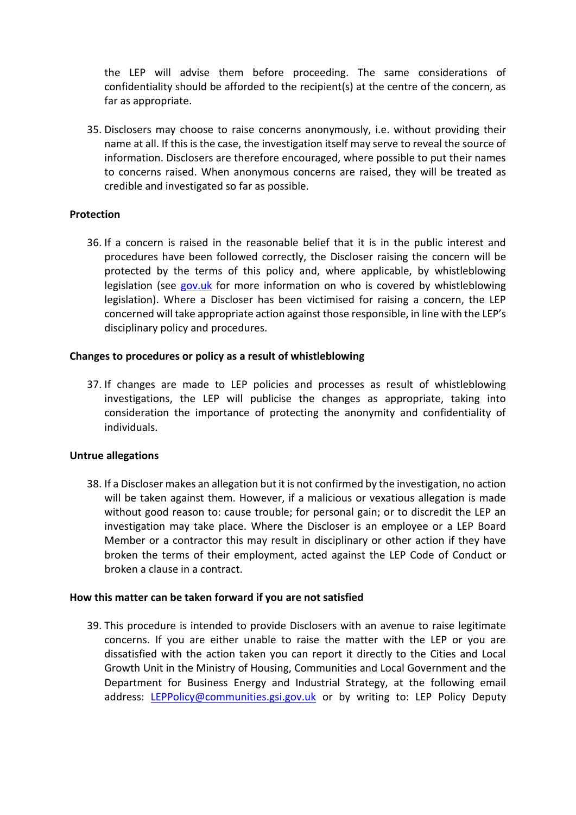the LEP will advise them before proceeding. The same considerations of confidentiality should be afforded to the recipient(s) at the centre of the concern, as far as appropriate.

35. Disclosers may choose to raise concerns anonymously, i.e. without providing their name at all. If this is the case, the investigation itself may serve to reveal the source of information. Disclosers are therefore encouraged, where possible to put their names to concerns raised. When anonymous concerns are raised, they will be treated as credible and investigated so far as possible.

### **Protection**

36. If a concern is raised in the reasonable belief that it is in the public interest and procedures have been followed correctly, the Discloser raising the concern will be protected by the terms of this policy and, where applicable, by whistleblowing legislation (see [gov.uk](https://www.gov.uk/whistleblowing) for more information on who is covered by whistleblowing legislation). Where a Discloser has been victimised for raising a concern, the LEP concerned will take appropriate action against those responsible, in line with the LEP's disciplinary policy and procedures.

### **Changes to procedures or policy as a result of whistleblowing**

37. If changes are made to LEP policies and processes as result of whistleblowing investigations, the LEP will publicise the changes as appropriate, taking into consideration the importance of protecting the anonymity and confidentiality of individuals.

### **Untrue allegations**

38. If a Discloser makes an allegation but it is not confirmed by the investigation, no action will be taken against them. However, if a malicious or vexatious allegation is made without good reason to: cause trouble; for personal gain; or to discredit the LEP an investigation may take place. Where the Discloser is an employee or a LEP Board Member or a contractor this may result in disciplinary or other action if they have broken the terms of their employment, acted against the LEP Code of Conduct or broken a clause in a contract.

### **How this matter can be taken forward if you are not satisfied**

39. This procedure is intended to provide Disclosers with an avenue to raise legitimate concerns. If you are either unable to raise the matter with the LEP or you are dissatisfied with the action taken you can report it directly to the Cities and Local Growth Unit in the Ministry of Housing, Communities and Local Government and the Department for Business Energy and Industrial Strategy, at the following email address: [LEPPolicy@communities.gsi.gov.uk](mailto:LEPPolicy@communities.gsi.gov.uk) or by writing to: LEP Policy Deputy